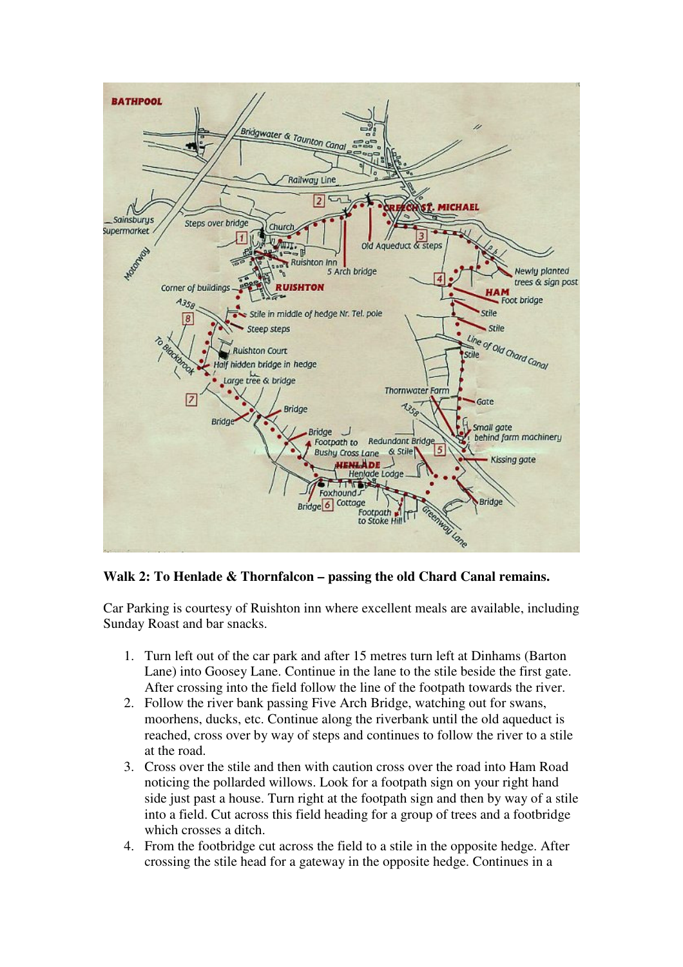

**Walk 2: To Henlade & Thornfalcon – passing the old Chard Canal remains.**

Car Parking is courtesy of Ruishton inn where excellent meals are available, including Sunday Roast and bar snacks.

- 1. Turn left out of the car park and after 15 metres turn left at Dinhams (Barton Lane) into Goosey Lane. Continue in the lane to the stile beside the first gate. After crossing into the field follow the line of the footpath towards the river.
- 2. Follow the river bank passing Five Arch Bridge, watching out for swans, moorhens, ducks, etc. Continue along the riverbank until the old aqueduct is reached, cross over by way of steps and continues to follow the river to a stile at the road.
- 3. Cross over the stile and then with caution cross over the road into Ham Road noticing the pollarded willows. Look for a footpath sign on your right hand side just past a house. Turn right at the footpath sign and then by way of a stile into a field. Cut across this field heading for a group of trees and a footbridge which crosses a ditch.
- 4. From the footbridge cut across the field to a stile in the opposite hedge. After crossing the stile head for a gateway in the opposite hedge. Continues in a